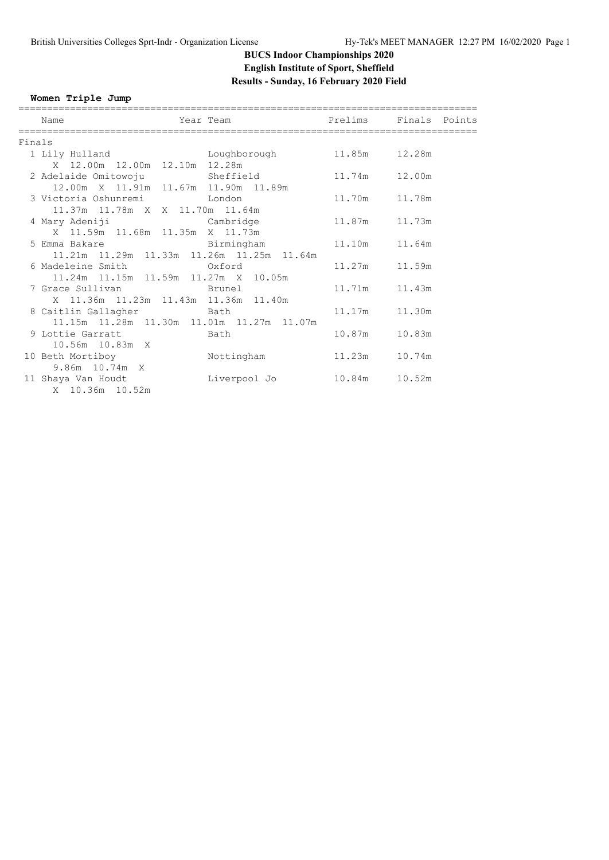# **BUCS Indoor Championships 2020 English Institute of Sport, Sheffield Results - Sunday, 16 February 2020 Field**

**Women Triple Jump**

|        | Name                                                                           | Year Team <b>Prelims</b> Finals Points |               |        |
|--------|--------------------------------------------------------------------------------|----------------------------------------|---------------|--------|
| Finals |                                                                                |                                        |               |        |
|        | 1 Lily Hulland                                                                 | Loughborough 11.85m 12.28m             |               |        |
|        | X 12.00m 12.00m 12.10m 12.28m                                                  |                                        |               |        |
|        | 2 Adelaide Omitowoju               Sheffield               11.74m       12.00m |                                        |               |        |
|        | 12.00m X 11.91m 11.67m 11.90m 11.89m                                           |                                        |               |        |
|        | 3 Victoria Oshunremi Martin London                                             |                                        | 11.70m 11.78m |        |
|        | 11.37m 11.78m X X 11.70m 11.64m                                                |                                        |               |        |
|        | 4 Mary Adeniji                         Cambridge                               |                                        | 11.87m 11.73m |        |
|        | X 11.59m 11.68m 11.35m X 11.73m                                                |                                        |               |        |
|        | 5 Emma Bakare and Birmingham                                                   |                                        | 11.10m 11.64m |        |
|        | 11.21m  11.29m  11.33m  11.26m  11.25m  11.64m                                 |                                        |               |        |
|        | 6 Madeleine Smith 6 Oxford                                                     |                                        | 11.27m 11.59m |        |
|        | 11.24m 11.15m 11.59m 11.27m X 10.05m                                           |                                        |               |        |
|        | 7 Grace Sullivan brunel                                                        |                                        | 11.71m 11.43m |        |
|        | X 11.36m 11.23m 11.43m 11.36m 11.40m                                           |                                        |               |        |
|        | 8 Caitlin Gallagher Bath                                                       |                                        | 11.17m 11.30m |        |
|        | 11.15m  11.28m  11.30m  11.01m  11.27m  11.07m                                 |                                        | 10.87m        | 10.83m |
|        | 9 Lottie Garratt bath<br>10.56m  10.83m  X                                     |                                        |               |        |
|        | 10 Beth Mortiboy Mottingham                                                    |                                        | 11.23m        | 10.74m |
|        | 9.86m 10.74m X                                                                 |                                        |               |        |
|        | 11 Shaya Van Houdt                                                             |                                        |               |        |
|        | X 10.36m 10.52m                                                                |                                        |               |        |
|        |                                                                                |                                        |               |        |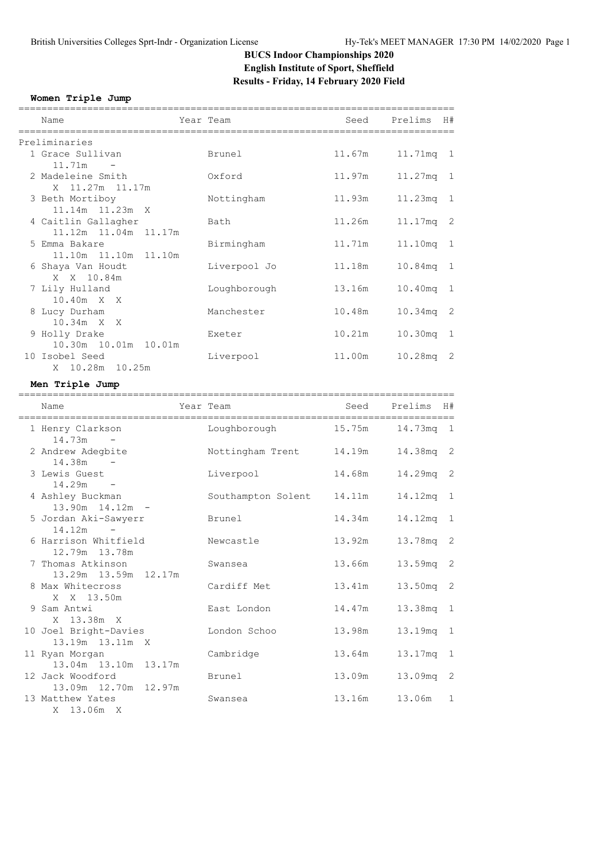# **BUCS Indoor Championships 2020 English Institute of Sport, Sheffield Results - Friday, 14 February 2020 Field**

### **Women Triple Jump**

| Name                                           | Year Team          | -----------------------<br>Seed | Prelims H#         |   |
|------------------------------------------------|--------------------|---------------------------------|--------------------|---|
| Preliminaries                                  |                    |                                 |                    |   |
| 1 Grace Sullivan                               | Brunel             | 11.67m                          | 11.71mq 1          |   |
| $11.71m -$                                     |                    |                                 |                    |   |
| 2 Madeleine Smith<br>X 11.27m 11.17m           | Oxford             | 11.97m                          | 11.27mq 1          |   |
| 3 Beth Mortiboy                                | Nottingham         | 11.93m                          | $11.23mg$ 1        |   |
| 11.14m  11.23m  X                              |                    |                                 |                    |   |
| 4 Caitlin Gallagher                            | Bath               | 11.26m                          | 11.17mq 2          |   |
| 11.12m  11.04m  11.17m                         |                    |                                 |                    |   |
| 5 Emma Bakare                                  | Birmingham         | 11.71m                          | 11.10mq 1          |   |
| 11.10m<br>11.10m   11.10m<br>6 Shaya Van Houdt | Liverpool Jo       | 11.18m                          | 10.84mq 1          |   |
| X X 10.84m                                     |                    |                                 |                    |   |
| 7 Lily Hulland                                 | Loughborough       | 13.16m                          | 10.40mq 1          |   |
| 10.40m X X                                     |                    |                                 |                    |   |
| 8 Lucy Durham                                  | Manchester         | 10.48m                          | 10.34mq 2          |   |
| 10.34m X X                                     | Exeter             | 10.21m                          |                    |   |
| 9 Holly Drake<br>10.30m  10.01m  10.01m        |                    |                                 | 10.30mq 1          |   |
| 10 Isobel Seed                                 | Liverpool          | 11.00m                          | 10.28mq 2          |   |
| X 10.28m 10.25m                                |                    |                                 |                    |   |
| Men Triple Jump                                |                    |                                 |                    |   |
|                                                |                    |                                 |                    |   |
| Name                                           | Year Team          |                                 | Seed Prelims H#    |   |
| 1 Henry Clarkson                               | Loughborough       |                                 | 15.75m  14.73mq  1 |   |
| $14.73m -$                                     |                    |                                 |                    |   |
| 2 Andrew Adegbite                              | Nottingham Trent   | 14.19m                          | 14.38mq 2          |   |
| $14.38m -$<br>3 Lewis Guest                    |                    |                                 |                    |   |
| $14.29m -$                                     | Liverpool          | 14.68m                          | 14.29mq 2          |   |
| 4 Ashley Buckman                               | Southampton Solent | 14.11m                          | 14.12mq 1          |   |
| $13.90m$ $14.12m$ -                            |                    |                                 |                    |   |
| 5 Jordan Aki-Sawyerr                           | Brunel             | 14.34m                          | 14.12mq 1          |   |
| 14.12m<br>$\sim$ $-$                           |                    |                                 |                    |   |
| 6 Harrison Whitfield<br>12.79m  13.78m         | Newcastle          | 13.92m                          | 13.78mq 2          |   |
| 7 Thomas Atkinson                              | Swansea            | 13.66m                          | 13.59mq 2          |   |
| 13.29m 13.59m 12.17m                           |                    |                                 |                    |   |
| 8 Max Whitecross                               | Cardiff Met        | 13.41m                          | 13.50mg 2          |   |
| X X 13.50m                                     |                    |                                 |                    |   |
| 9 Sam Antwi<br>X 13.38m<br>X                   | East London        | 14.47m                          | 13.38mg 1          |   |
| 10 Joel Bright-Davies                          | London Schoo       | 13.98m                          | 13.19mq 1          |   |
| 13.19m 13.11m X                                |                    |                                 |                    |   |
| 11 Ryan Morgan                                 | Cambridge          | 13.64m                          | 13.17mq 1          |   |
| 13.04m 13.10m<br>13.17m                        |                    |                                 |                    |   |
| 12 Jack Woodford<br>12.97m                     | Brunel             | 13.09m                          | 13.09mq 2          |   |
| 13.09m  12.70m<br>13 Matthew Yates             | Swansea            | 13.16m                          | 13.06m             | 1 |
|                                                |                    |                                 |                    |   |

X 13.06m X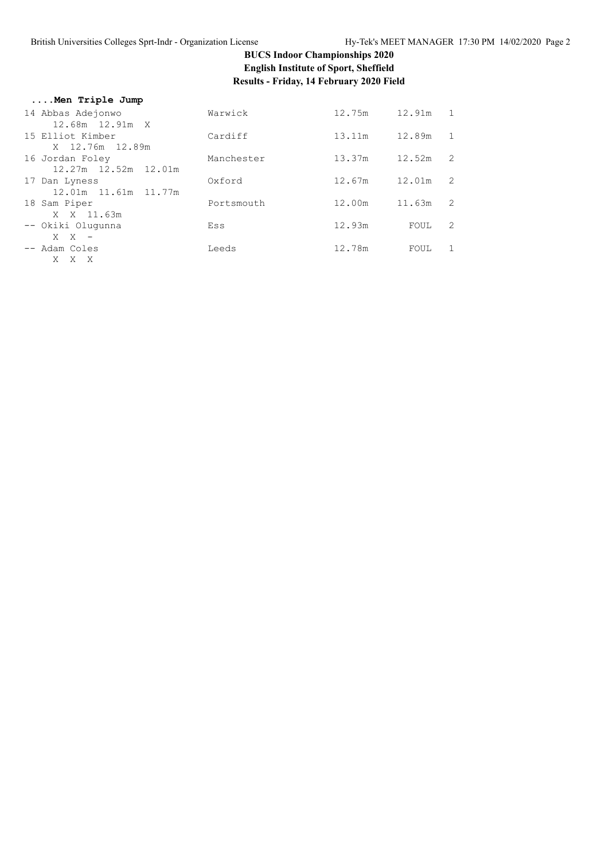# **BUCS Indoor Championships 2020 English Institute of Sport, Sheffield** Results - Friday, 14 February 2020 Field

| Warwick    | 12.75m                     | 12.91m 1                             |                            |
|------------|----------------------------|--------------------------------------|----------------------------|
|            |                            |                                      | 1                          |
|            |                            |                                      |                            |
| Manchester | 13.37m                     | 12.52m                               | 2                          |
|            |                            |                                      | $\overline{\phantom{0}}^2$ |
|            |                            |                                      |                            |
| Portsmouth | 12.00m                     | 11.63m                               | $\overline{\phantom{0}}^2$ |
|            |                            |                                      |                            |
| Ess        |                            | FOUL                                 | 2                          |
|            |                            |                                      | $\overline{1}$             |
|            |                            |                                      |                            |
|            | Cardiff<br>Oxford<br>Leeds | 13.11m<br>12.67m<br>12.93m<br>12.78m | 12.89m<br>12.01m<br>FOUL   |